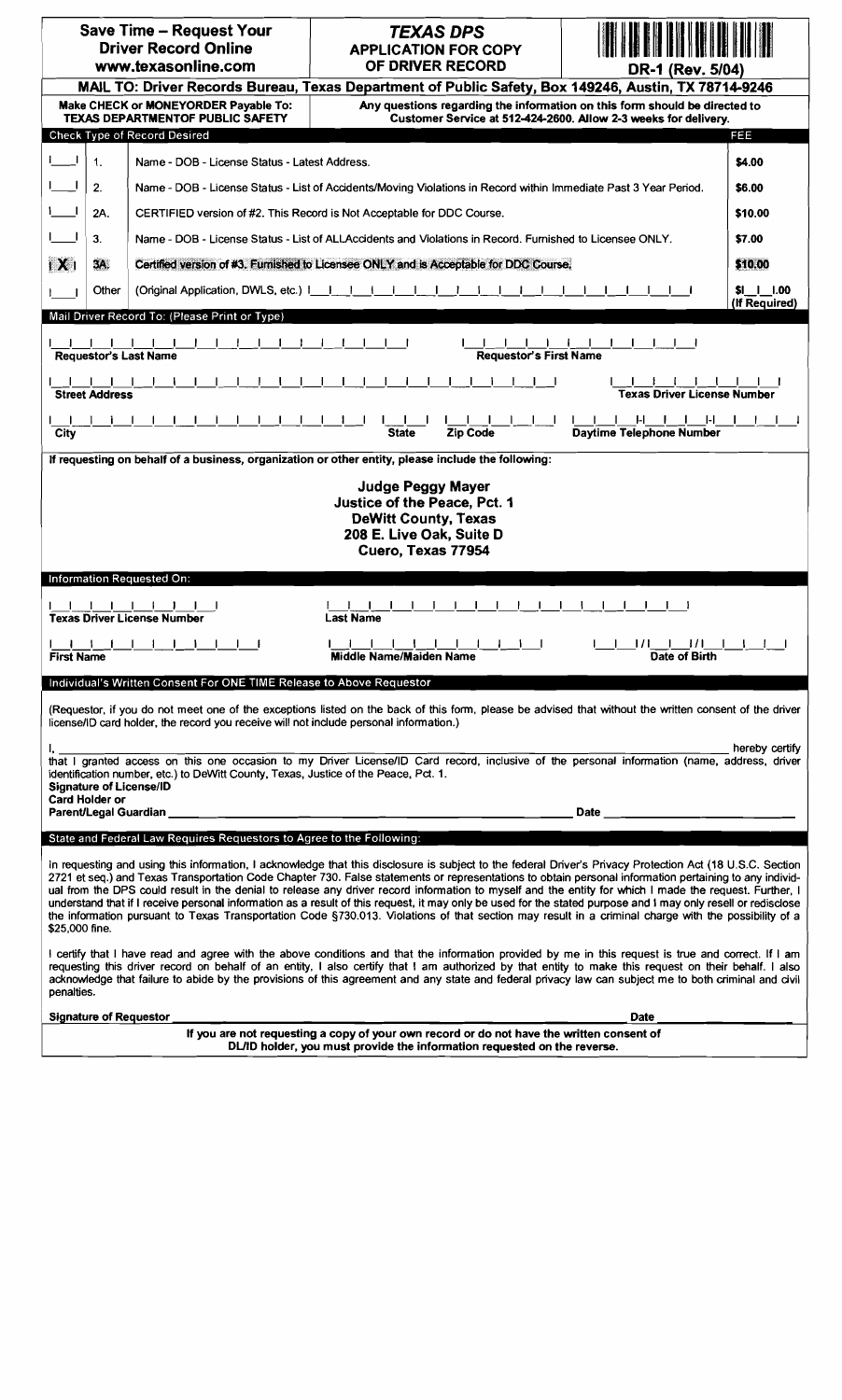| <b>Save Time - Request Your</b><br><b>Driver Record Online</b><br>www.texasonline.com                                                                                                                                                                                                                                                                                                                                                                                                                                                                                                                                                                                                                                                                                                                                    | <b>TEXAS DPS</b><br><b>APPLICATION FOR COPY</b><br>OF DRIVER RECORD | DR-1 (Rev. 5/04)                                                                                                                                                                                                                       |                             |
|--------------------------------------------------------------------------------------------------------------------------------------------------------------------------------------------------------------------------------------------------------------------------------------------------------------------------------------------------------------------------------------------------------------------------------------------------------------------------------------------------------------------------------------------------------------------------------------------------------------------------------------------------------------------------------------------------------------------------------------------------------------------------------------------------------------------------|---------------------------------------------------------------------|----------------------------------------------------------------------------------------------------------------------------------------------------------------------------------------------------------------------------------------|-----------------------------|
| MAIL TO: Driver Records Bureau, Texas Department of Public Safety, Box 149246, Austin, TX 78714-9246                                                                                                                                                                                                                                                                                                                                                                                                                                                                                                                                                                                                                                                                                                                     |                                                                     |                                                                                                                                                                                                                                        |                             |
| Any questions regarding the information on this form should be directed to<br>Make CHECK or MONEYORDER Pavable To:<br><b>TEXAS DEPARTMENTOF PUBLIC SAFETY</b><br>Customer Service at 512-424-2600. Allow 2-3 weeks for delivery.                                                                                                                                                                                                                                                                                                                                                                                                                                                                                                                                                                                         |                                                                     |                                                                                                                                                                                                                                        |                             |
| Check Type of Record Desired                                                                                                                                                                                                                                                                                                                                                                                                                                                                                                                                                                                                                                                                                                                                                                                             |                                                                     |                                                                                                                                                                                                                                        | FEE                         |
| <b>Contract</b><br>$\mathbf{1}$ .<br>Name - DOB - License Status - Latest Address.                                                                                                                                                                                                                                                                                                                                                                                                                                                                                                                                                                                                                                                                                                                                       |                                                                     | \$4.00                                                                                                                                                                                                                                 |                             |
| 2.<br>Name - DOB - License Status - List of Accidents/Moving Violations in Record within Immediate Past 3 Year Period.                                                                                                                                                                                                                                                                                                                                                                                                                                                                                                                                                                                                                                                                                                   |                                                                     | \$6.00                                                                                                                                                                                                                                 |                             |
| 2A.<br>CERTIFIED version of #2. This Record is Not Acceptable for DDC Course.                                                                                                                                                                                                                                                                                                                                                                                                                                                                                                                                                                                                                                                                                                                                            |                                                                     | \$10,00                                                                                                                                                                                                                                |                             |
| 3.<br>Name - DOB - License Status - List of ALLAccidents and Violations in Record. Furnished to Licensee ONLY.                                                                                                                                                                                                                                                                                                                                                                                                                                                                                                                                                                                                                                                                                                           |                                                                     | \$7.00                                                                                                                                                                                                                                 |                             |
| $\mathbf{X}$<br>3A.<br>Certified version of #3. Furnished to Licensee ONLY and is Acceptable for DDC Course,                                                                                                                                                                                                                                                                                                                                                                                                                                                                                                                                                                                                                                                                                                             |                                                                     | \$10.00                                                                                                                                                                                                                                |                             |
| Other<br>(Onginal Application, DWLS, etc.) $\vert \vert \vert \vert$                                                                                                                                                                                                                                                                                                                                                                                                                                                                                                                                                                                                                                                                                                                                                     |                                                                     |                                                                                                                                                                                                                                        | \$I 1 1.00<br>(If Required) |
| Mail Driver Record To: (Please Print or Type)                                                                                                                                                                                                                                                                                                                                                                                                                                                                                                                                                                                                                                                                                                                                                                            |                                                                     |                                                                                                                                                                                                                                        |                             |
| <b>Requestor's First Name</b><br><b>Requestor's Last Name</b>                                                                                                                                                                                                                                                                                                                                                                                                                                                                                                                                                                                                                                                                                                                                                            |                                                                     |                                                                                                                                                                                                                                        |                             |
| <b>Street Address</b><br><b>Texas Driver License Number</b>                                                                                                                                                                                                                                                                                                                                                                                                                                                                                                                                                                                                                                                                                                                                                              |                                                                     |                                                                                                                                                                                                                                        |                             |
| $H = 1$<br>I-L<br><b>Zip Code</b><br>Daytime Telephone Number<br><b>State</b><br>City                                                                                                                                                                                                                                                                                                                                                                                                                                                                                                                                                                                                                                                                                                                                    |                                                                     |                                                                                                                                                                                                                                        |                             |
| If requesting on behalf of a business, organization or other entity, please include the following:                                                                                                                                                                                                                                                                                                                                                                                                                                                                                                                                                                                                                                                                                                                       |                                                                     |                                                                                                                                                                                                                                        |                             |
| Judge Peggy Mayer<br>Justice of the Peace, Pct. 1<br><b>DeWitt County, Texas</b><br>208 E. Live Oak, Suite D<br>Cuero, Texas 77954<br><b>Information Requested On:</b>                                                                                                                                                                                                                                                                                                                                                                                                                                                                                                                                                                                                                                                   |                                                                     |                                                                                                                                                                                                                                        |                             |
|                                                                                                                                                                                                                                                                                                                                                                                                                                                                                                                                                                                                                                                                                                                                                                                                                          |                                                                     |                                                                                                                                                                                                                                        |                             |
| <b>Texas Driver License Number</b><br><b>Last Name</b>                                                                                                                                                                                                                                                                                                                                                                                                                                                                                                                                                                                                                                                                                                                                                                   |                                                                     |                                                                                                                                                                                                                                        |                             |
| 1 1 1 1 1 1 1 1 1 1 1<br>1111111111111111111111111<br><b>Middle Name/Maiden Name</b><br>Date of Birth<br><b>First Name</b>                                                                                                                                                                                                                                                                                                                                                                                                                                                                                                                                                                                                                                                                                               |                                                                     |                                                                                                                                                                                                                                        |                             |
| Individual's Written Consent For ONE TIME Release to Above Requestor                                                                                                                                                                                                                                                                                                                                                                                                                                                                                                                                                                                                                                                                                                                                                     |                                                                     |                                                                                                                                                                                                                                        |                             |
| (Requestor, if you do not meet one of the exceptions listed on the back of this form, please be advised that without the written consent of the driver<br>license/ID card holder, the record you receive will not include personal information.)                                                                                                                                                                                                                                                                                                                                                                                                                                                                                                                                                                         |                                                                     |                                                                                                                                                                                                                                        |                             |
| hereby certify<br>I, _<br>that I granted access on this one occasion to my Driver License/ID Card record, inclusive of the personal information (name, address, driver<br>identification number, etc.) to DeWitt County, Texas, Justice of the Peace, Pct. 1.<br><b>Signature of License/ID</b><br>Card Holder or                                                                                                                                                                                                                                                                                                                                                                                                                                                                                                        |                                                                     |                                                                                                                                                                                                                                        |                             |
| Parent/Legal Guardian                                                                                                                                                                                                                                                                                                                                                                                                                                                                                                                                                                                                                                                                                                                                                                                                    |                                                                     | <b>Date Date <i>Contract Contract Contract Contract Contract Contract Contract Contract Contract Contract Contract Contract Contract Contract Contract Contract Contract Contract Contract Contract Contract Contract Contract</i></b> |                             |
| State and Federal Law Requires Requestors to Agree to the Following:                                                                                                                                                                                                                                                                                                                                                                                                                                                                                                                                                                                                                                                                                                                                                     |                                                                     |                                                                                                                                                                                                                                        |                             |
| In requesting and using this information, I acknowledge that this disclosure is subject to the federal Driver's Privacy Protection Act (18 U.S.C. Section<br>2721 et seq.) and Texas Transportation Code Chapter 730. False statements or representations to obtain personal information pertaining to any individ-<br>ual from the DPS could result in the denial to release any driver record information to myself and the entity for which I made the request. Further, I<br>understand that if I receive personal information as a result of this request, it may only be used for the stated purpose and I may only resell or redisclose<br>the information pursuant to Texas Transportation Code §730.013. Violations of that section may result in a criminal charge with the possibility of a<br>\$25,000 fine. |                                                                     |                                                                                                                                                                                                                                        |                             |
| I certify that I have read and agree with the above conditions and that the information provided by me in this request is true and correct. If I am<br>requesting this driver record on behalf of an entity, I also certify that I am authorized by that entity to make this request on their behalf. I also<br>acknowledge that failure to abide by the provisions of this agreement and any state and federal privacy law can subject me to both criminal and civil<br>penalties.                                                                                                                                                                                                                                                                                                                                      |                                                                     |                                                                                                                                                                                                                                        |                             |
| <b>Signature of Requestor</b><br><b>Date</b>                                                                                                                                                                                                                                                                                                                                                                                                                                                                                                                                                                                                                                                                                                                                                                             |                                                                     |                                                                                                                                                                                                                                        |                             |
| If you are not requesting a copy of your own record or do not have the written consent of<br>DJ /ID holder, you must provide the information requested on the reverse                                                                                                                                                                                                                                                                                                                                                                                                                                                                                                                                                                                                                                                    |                                                                     |                                                                                                                                                                                                                                        |                             |

DL/ID holder, you must provide the information requested on the